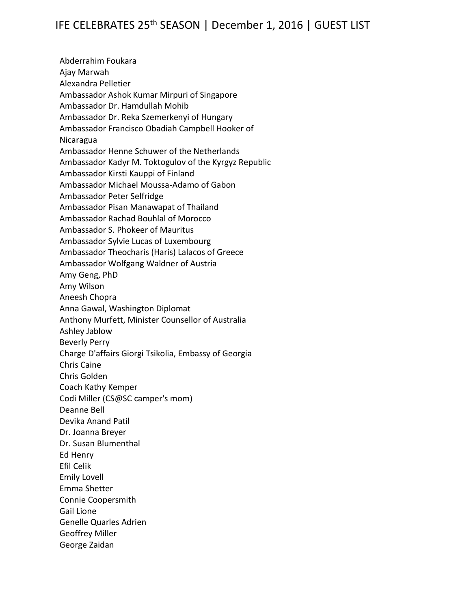Abderrahim Foukara Ajay Marwah Alexandra Pelletier Ambassador Ashok Kumar Mirpuri of Singapore Ambassador Dr. Hamdullah Mohib Ambassador Dr. Reka Szemerkenyi of Hungary Ambassador Francisco Obadiah Campbell Hooker of Nicaragua Ambassador Henne Schuwer of the Netherlands Ambassador Kadyr M. Toktogulov of the Kyrgyz Republic Ambassador Kirsti Kauppi of Finland Ambassador Michael Moussa-Adamo of Gabon Ambassador Peter Selfridge Ambassador Pisan Manawapat of Thailand Ambassador Rachad Bouhlal of Morocco Ambassador S. Phokeer of Mauritus Ambassador Sylvie Lucas of Luxembourg Ambassador Theocharis (Haris) Lalacos of Greece Ambassador Wolfgang Waldner of Austria Amy Geng, PhD Amy Wilson Aneesh Chopra Anna Gawal, Washington Diplomat Anthony Murfett, Minister Counsellor of Australia Ashley Jablow Beverly Perry Charge D'affairs Giorgi Tsikolia, Embassy of Georgia Chris Caine Chris Golden Coach Kathy Kemper Codi Miller (CS@SC camper's mom) Deanne Bell Devika Anand Patil Dr. Joanna Breyer Dr. Susan Blumenthal Ed Henry Efil Celik Emily Lovell Emma Shetter Connie Coopersmith Gail Lione Genelle Quarles Adrien Geoffrey Miller George Zaidan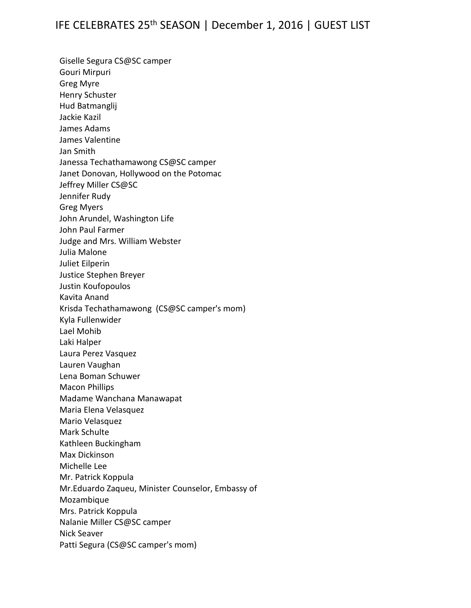Giselle Segura CS@SC camper Gouri Mirpuri Greg Myre Henry Schuster Hud Batmanglij Jackie Kazil James Adams James Valentine Jan Smith Janessa Techathamawong CS@SC camper Janet Donovan, Hollywood on the Potomac Jeffrey Miller CS@SC Jennifer Rudy Greg Myers John Arundel, Washington Life John Paul Farmer Judge and Mrs. William Webster Julia Malone Juliet Eilperin Justice Stephen Breyer Justin Koufopoulos Kavita Anand Krisda Techathamawong (CS@SC camper's mom) Kyla Fullenwider Lael Mohib Laki Halper Laura Perez Vasquez Lauren Vaughan Lena Boman Schuwer Macon Phillips Madame Wanchana Manawapat Maria Elena Velasquez Mario Velasquez Mark Schulte Kathleen Buckingham Max Dickinson Michelle Lee Mr. Patrick Koppula Mr.Eduardo Zaqueu, Minister Counselor, Embassy of Mozambique Mrs. Patrick Koppula Nalanie Miller CS@SC camper Nick Seaver Patti Segura (CS@SC camper's mom)